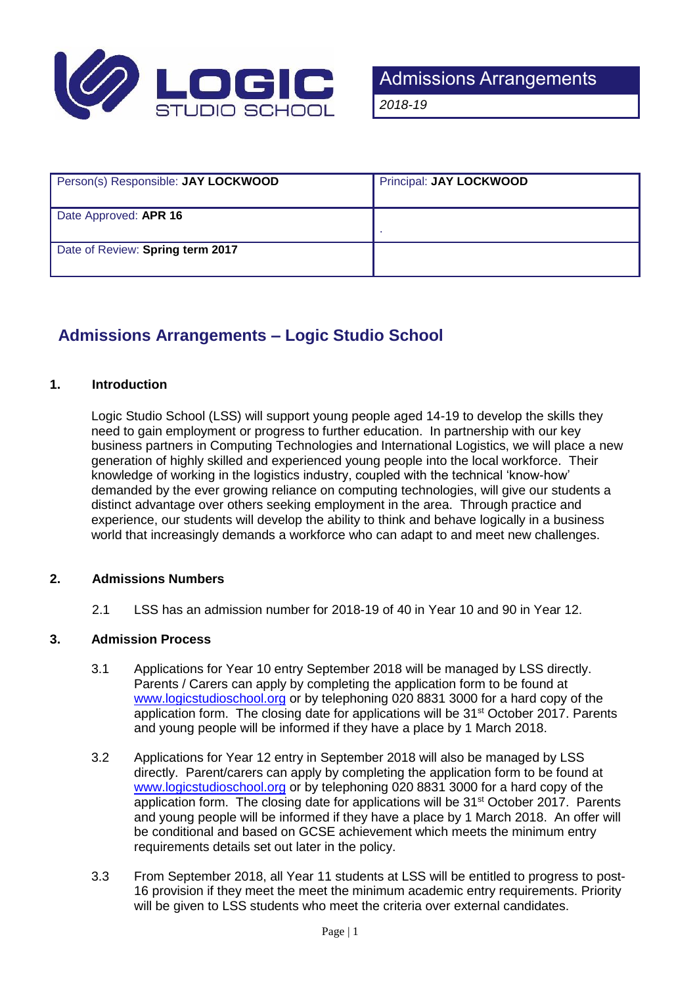

| Person(s) Responsible: JAY LOCKWOOD | Principal: JAY LOCKWOOD |
|-------------------------------------|-------------------------|
| Date Approved: APR 16               |                         |
| Date of Review: Spring term 2017    |                         |

# **Admissions Arrangements – Logic Studio School**

# **1. Introduction**

Logic Studio School (LSS) will support young people aged 14-19 to develop the skills they need to gain employment or progress to further education. In partnership with our key business partners in Computing Technologies and International Logistics, we will place a new generation of highly skilled and experienced young people into the local workforce. Their knowledge of working in the logistics industry, coupled with the technical 'know-how' demanded by the ever growing reliance on computing technologies, will give our students a distinct advantage over others seeking employment in the area. Through practice and experience, our students will develop the ability to think and behave logically in a business world that increasingly demands a workforce who can adapt to and meet new challenges.

# **2. Admissions Numbers**

2.1 LSS has an admission number for 2018-19 of 40 in Year 10 and 90 in Year 12.

# **3. Admission Process**

- 3.1 Applications for Year 10 entry September 2018 will be managed by LSS directly. Parents / Carers can apply by completing the application form to be found at [www.logicstudioschool.org](http://www.logicstudioschool.org/) or by telephoning 020 8831 3000 for a hard copy of the application form. The closing date for applications will be 31<sup>st</sup> October 2017. Parents and young people will be informed if they have a place by 1 March 2018.
- 3.2 Applications for Year 12 entry in September 2018 will also be managed by LSS directly. Parent/carers can apply by completing the application form to be found at [www.logicstudioschool.org](http://www.logicstudioschool.org/) or by telephoning 020 8831 3000 for a hard copy of the application form. The closing date for applications will be 31<sup>st</sup> October 2017. Parents and young people will be informed if they have a place by 1 March 2018. An offer will be conditional and based on GCSE achievement which meets the minimum entry requirements details set out later in the policy.
- 3.3 From September 2018, all Year 11 students at LSS will be entitled to progress to post-16 provision if they meet the meet the minimum academic entry requirements. Priority will be given to LSS students who meet the criteria over external candidates.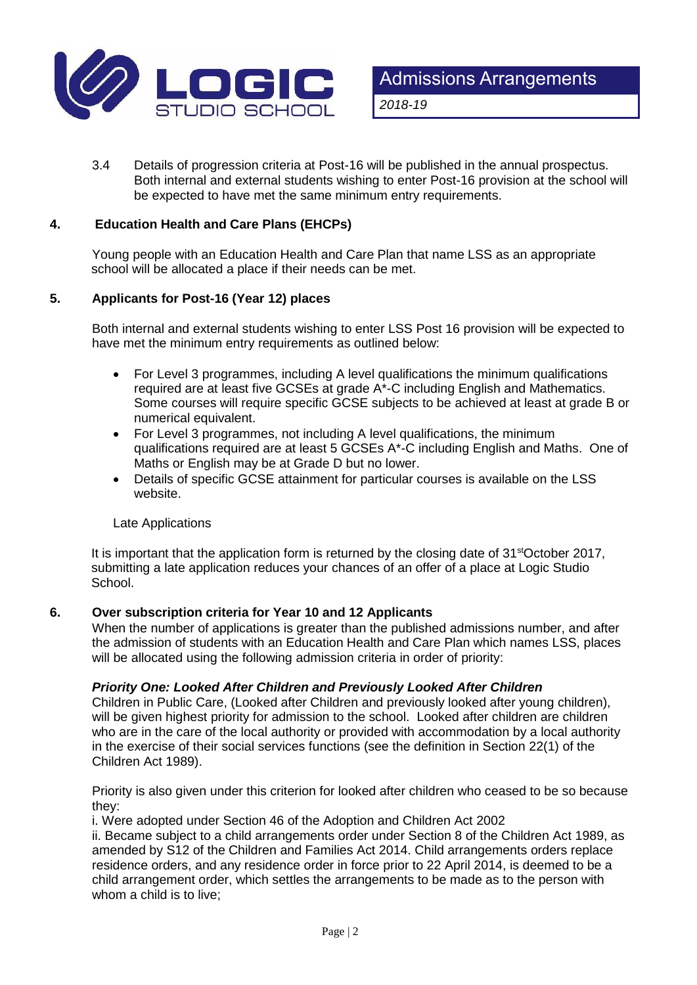

3.4 Details of progression criteria at Post-16 will be published in the annual prospectus. Both internal and external students wishing to enter Post-16 provision at the school will be expected to have met the same minimum entry requirements.

# **4. Education Health and Care Plans (EHCPs)**

Young people with an Education Health and Care Plan that name LSS as an appropriate school will be allocated a place if their needs can be met.

# **5. Applicants for Post-16 (Year 12) places**

Both internal and external students wishing to enter LSS Post 16 provision will be expected to have met the minimum entry requirements as outlined below:

- For Level 3 programmes, including A level qualifications the minimum qualifications required are at least five GCSEs at grade A\*-C including English and Mathematics. Some courses will require specific GCSE subjects to be achieved at least at grade B or numerical equivalent.
- For Level 3 programmes, not including A level qualifications, the minimum qualifications required are at least 5 GCSEs A\*-C including English and Maths. One of Maths or English may be at Grade D but no lower.
- Details of specific GCSE attainment for particular courses is available on the LSS website.

# Late Applications

It is important that the application form is returned by the closing date of 31<sup>st</sup>October 2017, submitting a late application reduces your chances of an offer of a place at Logic Studio School.

# **6. Over subscription criteria for Year 10 and 12 Applicants**

When the number of applications is greater than the published admissions number, and after the admission of students with an Education Health and Care Plan which names LSS, places will be allocated using the following admission criteria in order of priority:

# *Priority One: Looked After Children and Previously Looked After Children*

Children in Public Care, (Looked after Children and previously looked after young children), will be given highest priority for admission to the school. Looked after children are children who are in the care of the local authority or provided with accommodation by a local authority in the exercise of their social services functions (see the definition in Section 22(1) of the Children Act 1989).

Priority is also given under this criterion for looked after children who ceased to be so because they:

i. Were adopted under Section 46 of the Adoption and Children Act 2002

ii. Became subject to a child arrangements order under Section 8 of the Children Act 1989, as amended by S12 of the Children and Families Act 2014. Child arrangements orders replace residence orders, and any residence order in force prior to 22 April 2014, is deemed to be a child arrangement order, which settles the arrangements to be made as to the person with whom a child is to live;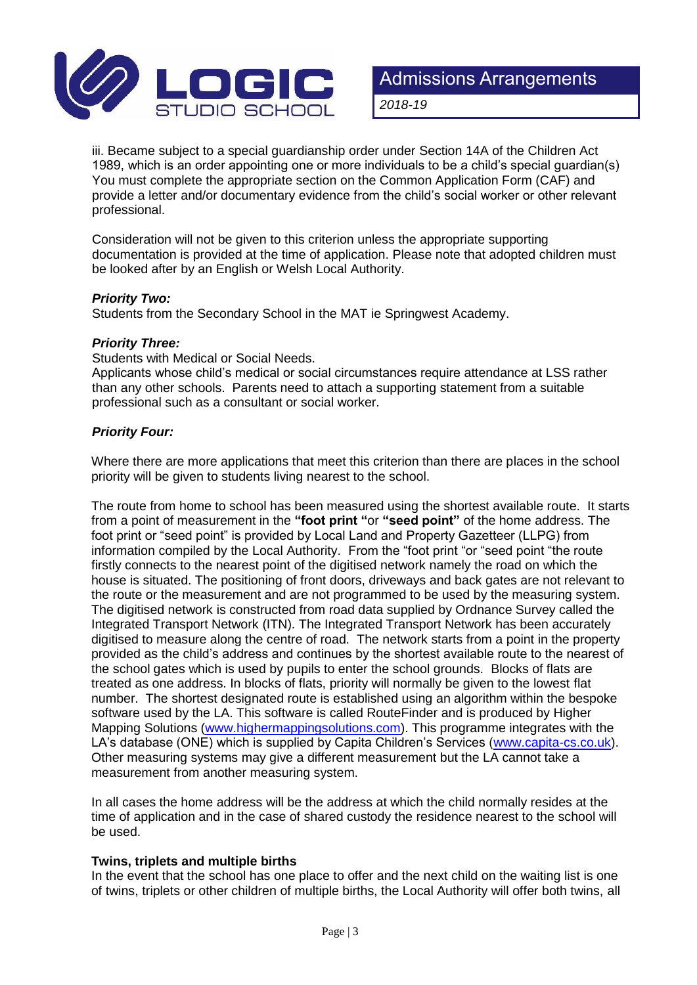

iii. Became subject to a special guardianship order under Section 14A of the Children Act 1989, which is an order appointing one or more individuals to be a child's special guardian(s) You must complete the appropriate section on the Common Application Form (CAF) and provide a letter and/or documentary evidence from the child's social worker or other relevant professional.

Consideration will not be given to this criterion unless the appropriate supporting documentation is provided at the time of application. Please note that adopted children must be looked after by an English or Welsh Local Authority.

# *Priority Two:*

Students from the Secondary School in the MAT ie Springwest Academy.

# *Priority Three:*

Students with Medical or Social Needs.

Applicants whose child's medical or social circumstances require attendance at LSS rather than any other schools. Parents need to attach a supporting statement from a suitable professional such as a consultant or social worker.

# *Priority Four:*

Where there are more applications that meet this criterion than there are places in the school priority will be given to students living nearest to the school.

The route from home to school has been measured using the shortest available route. It starts from a point of measurement in the **"foot print "**or **"seed point"** of the home address. The foot print or "seed point" is provided by Local Land and Property Gazetteer (LLPG) from information compiled by the Local Authority. From the "foot print "or "seed point "the route firstly connects to the nearest point of the digitised network namely the road on which the house is situated. The positioning of front doors, driveways and back gates are not relevant to the route or the measurement and are not programmed to be used by the measuring system. The digitised network is constructed from road data supplied by Ordnance Survey called the Integrated Transport Network (ITN). The Integrated Transport Network has been accurately digitised to measure along the centre of road. The network starts from a point in the property provided as the child's address and continues by the shortest available route to the nearest of the school gates which is used by pupils to enter the school grounds. Blocks of flats are treated as one address. In blocks of flats, priority will normally be given to the lowest flat number. The shortest designated route is established using an algorithm within the bespoke software used by the LA. This software is called RouteFinder and is produced by Higher Mapping Solutions [\(www.highermappingsolutions.com\)](http://www.highermappingsolutions.com/). This programme integrates with the LA's database (ONE) which is supplied by Capita Children's Services [\(www.capita-cs.co.uk\)](http://www.capita-cs.co.uk/). Other measuring systems may give a different measurement but the LA cannot take a measurement from another measuring system.

In all cases the home address will be the address at which the child normally resides at the time of application and in the case of shared custody the residence nearest to the school will be used.

# **Twins, triplets and multiple births**

In the event that the school has one place to offer and the next child on the waiting list is one of twins, triplets or other children of multiple births, the Local Authority will offer both twins, all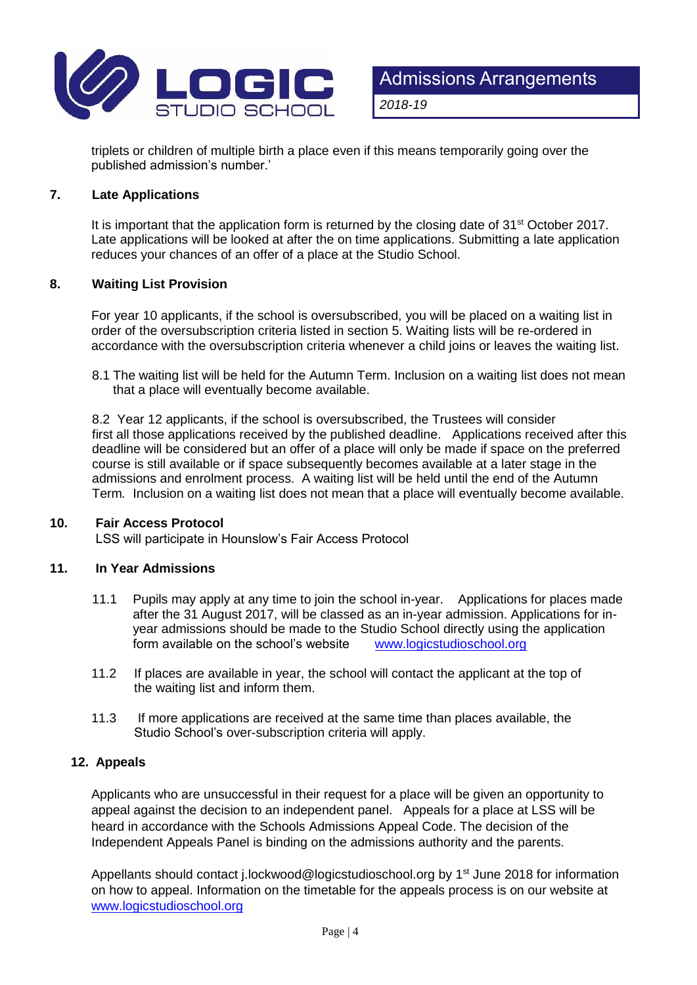

triplets or children of multiple birth a place even if this means temporarily going over the published admission's number.'

#### **7. Late Applications**

It is important that the application form is returned by the closing date of 31<sup>st</sup> October 2017. Late applications will be looked at after the on time applications. Submitting a late application reduces your chances of an offer of a place at the Studio School.

#### **8. Waiting List Provision**

For year 10 applicants, if the school is oversubscribed, you will be placed on a waiting list in order of the oversubscription criteria listed in section 5. Waiting lists will be re-ordered in accordance with the oversubscription criteria whenever a child joins or leaves the waiting list.

8.1 The waiting list will be held for the Autumn Term. Inclusion on a waiting list does not mean that a place will eventually become available.

8.2 Year 12 applicants, if the school is oversubscribed, the Trustees will consider first all those applications received by the published deadline. Applications received after this deadline will be considered but an offer of a place will only be made if space on the preferred course is still available or if space subsequently becomes available at a later stage in the admissions and enrolment process. A waiting list will be held until the end of the Autumn Term*.* Inclusion on a waiting list does not mean that a place will eventually become available.

#### **10. Fair Access Protocol**

LSS will participate in Hounslow's Fair Access Protocol

# **11. In Year Admissions**

- 11.1 Pupils may apply at any time to join the school in-year. Applications for places made after the 31 August 2017, will be classed as an in-year admission. Applications for inyear admissions should be made to the Studio School directly using the application<br>form available on the school's website www.logicstudioschool.org form available on the school's website
- 11.2 If places are available in year, the school will contact the applicant at the top of the waiting list and inform them.
- 11.3 If more applications are received at the same time than places available, the Studio School's over-subscription criteria will apply.

# **12. Appeals**

Applicants who are unsuccessful in their request for a place will be given an opportunity to appeal against the decision to an independent panel. Appeals for a place at LSS will be heard in accordance with the Schools Admissions Appeal Code. The decision of the Independent Appeals Panel is binding on the admissions authority and the parents.

Appellants should contact j.lockwood@logicstudioschool.org by 1<sup>st</sup> June 2018 for information on how to appeal. Information on the timetable for the appeals process is on our website at [www.logicstudioschool.org](http://www.logicstudioschool.org/)